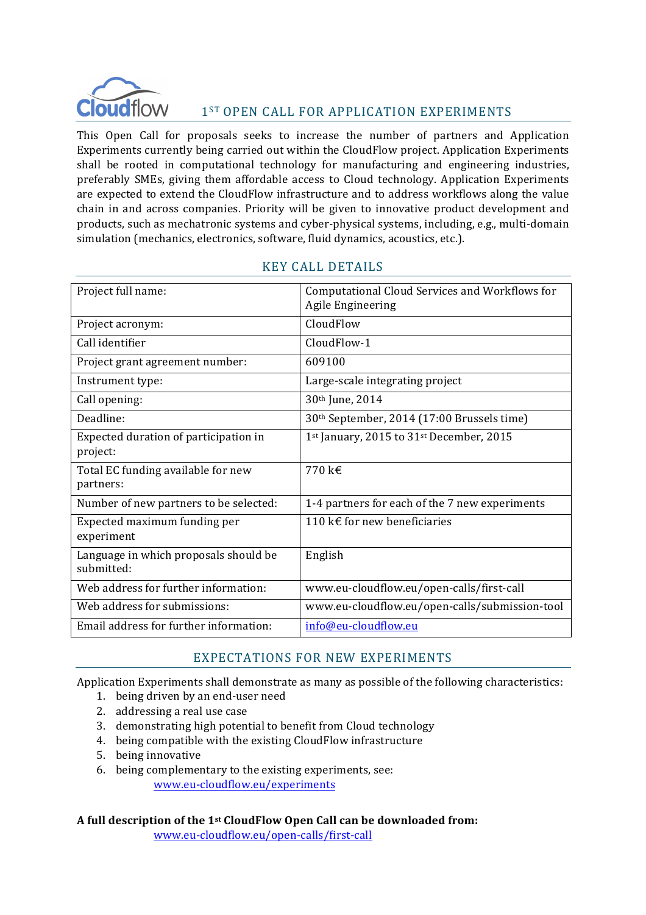

# 1<sup>ST</sup> OPEN CALL FOR APPLICATION EXPERIMENTS

This Open Call for proposals seeks to increase the number of partners and Application Experiments currently being carried out within the CloudFlow project. Application Experiments shall be rooted in computational technology for manufacturing and engineering industries, preferably SMEs, giving them affordable access to Cloud technology. Application Experiments are expected to extend the CloudFlow infrastructure and to address workflows along the value chain in and across companies. Priority will be given to innovative product development and products, such as mechatronic systems and cyber-physical systems, including, e.g., multi-domain simulation (mechanics, electronics, software, fluid dynamics, acoustics, etc.).

| Project full name:                                  | Computational Cloud Services and Workflows for<br>Agile Engineering |
|-----------------------------------------------------|---------------------------------------------------------------------|
| Project acronym:                                    | CloudFlow                                                           |
| Call identifier                                     | CloudFlow-1                                                         |
| Project grant agreement number:                     | 609100                                                              |
| Instrument type:                                    | Large-scale integrating project                                     |
| Call opening:                                       | 30th June, 2014                                                     |
| Deadline:                                           | 30th September, 2014 (17:00 Brussels time)                          |
| Expected duration of participation in<br>project:   | 1 <sup>st</sup> January, 2015 to 31 <sup>st</sup> December, 2015    |
| Total EC funding available for new<br>partners:     | 770 k€                                                              |
| Number of new partners to be selected:              | 1-4 partners for each of the 7 new experiments                      |
| Expected maximum funding per<br>experiment          | 110 k€ for new beneficiaries                                        |
| Language in which proposals should be<br>submitted: | English                                                             |
| Web address for further information:                | www.eu-cloudflow.eu/open-calls/first-call                           |
| Web address for submissions:                        | www.eu-cloudflow.eu/open-calls/submission-tool                      |
| Email address for further information:              | info@eu-cloudflow.eu                                                |

# KEY CALL DETAILS

#### EXPECTATIONS FOR NEW EXPERIMENTS

Application Experiments shall demonstrate as many as possible of the following characteristics:

- 1. being driven by an end-user need
- 2. addressing a real use case
- 3. demonstrating high potential to benefit from Cloud technology
- 4. being compatible with the existing CloudFlow infrastructure
- 5. being innovative
- 6. being complementary to the existing experiments, see: www.eu-cloudflow.eu/experiments

**A full description of the 1st CloudFlow Open Call can be downloaded from:** www.eu-cloudflow.eu/open-calls/first-call